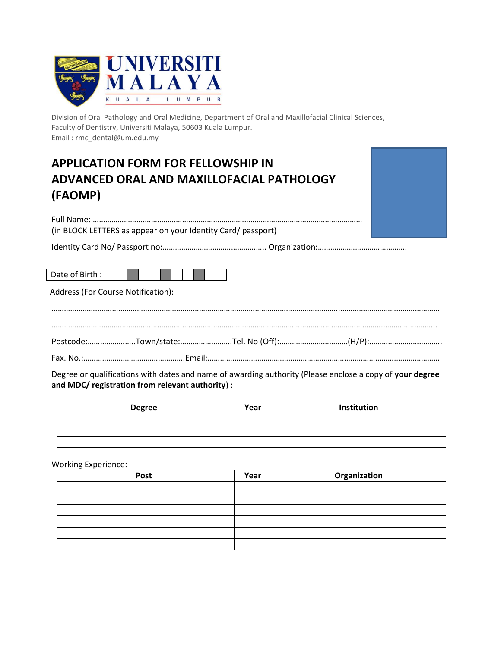

Division of Oral Pathology and Oral Medicine, Department of Oral and Maxillofacial Clinical Sciences, Faculty of Dentistry, Universiti Malaya, 50603 Kuala Lumpur. Email : rmc\_dental@um.edu.my

## **APPLICATION FORM FOR FELLOWSHIP IN ADVANCED ORAL AND MAXILLOFACIAL PATHOLOGY (FAOMP)**

Full Name: …………………….…………………………………………………………………………………………… (in BLOCK LETTERS as appear on your Identity Card/ passport)

Identity Card No/ Passport no:………………………………………….. Organization:…………………………………….

| Date of Birth: |  |  |  |  |
|----------------|--|--|--|--|

Address (For Course Notification):

Degree or qualifications with dates and name of awarding authority (Please enclose a copy of **your degree and MDC/ registration from relevant authority**) :

| <b>Degree</b> | Year | Institution |
|---------------|------|-------------|
|               |      |             |
|               |      |             |
|               |      |             |

Working Experience:

| Post | Year | Organization |
|------|------|--------------|
|      |      |              |
|      |      |              |
|      |      |              |
|      |      |              |
|      |      |              |
|      |      |              |